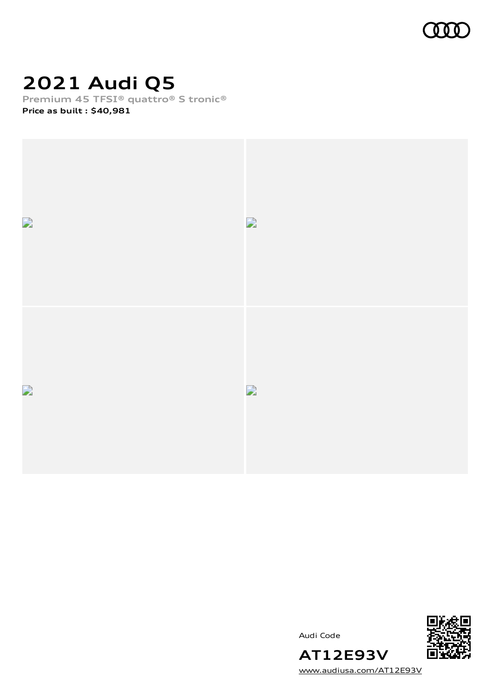

### **2021 Audi Q5**

**Premium 45 TFSI® quattro® S tronic®**

**Price as built [:](#page-10-0) \$40,981**



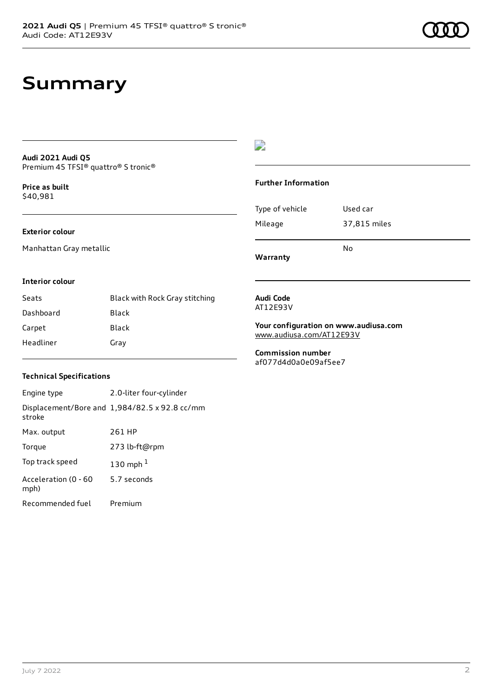#### **Audi 2021 Audi Q5** Premium 45 TFSI® quattro® S tronic®

**Price as buil[t](#page-10-0)** \$40,981

#### **Exterior colour**

Manhattan Gray metallic

#### D

#### **Further Information**

Type of vehicle Used car Mileage 37,815 miles No

**Warranty**

#### **Interior colour**

| Seats     | Black with Rock Gray stitching |
|-----------|--------------------------------|
| Dashboard | Black                          |
| Carpet    | Black                          |
| Headliner | Gray                           |

#### **Audi Code** AT12E93V

**Your configuration on www.audiusa.com** [www.audiusa.com/AT12E93V](https://www.audiusa.com/AT12E93V)

**Commission number** af077d4d0a0e09af5ee7

#### **Technical Specifications**

Engine type 2.0-liter four-cylinder Displacement/Bore and 1,984/82.5 x 92.8 cc/mm stroke Max. output 261 HP Torque 273 lb-ft@rpm Top track speed [1](#page-10-0)30 mph $<sup>1</sup>$ </sup> Acceleration (0 - 60 mph) 5.7 seconds Recommended fuel Premium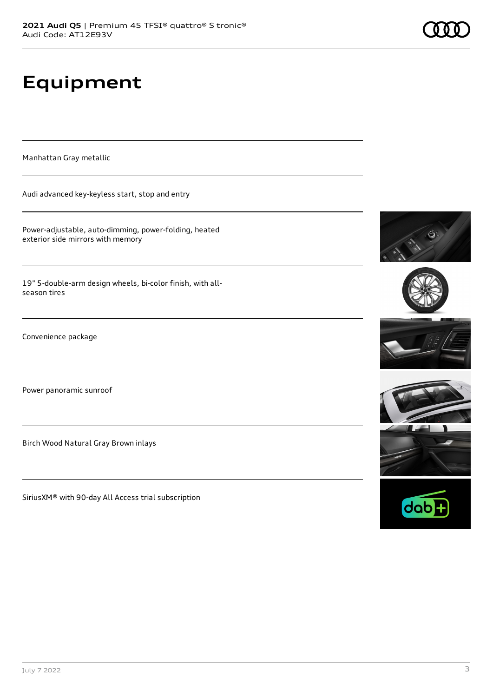# **Equipment**

Manhattan Gray metallic

Audi advanced key-keyless start, stop and entry

Power-adjustable, auto-dimming, power-folding, heated exterior side mirrors with memory

19" 5-double-arm design wheels, bi-color finish, with allseason tires

Convenience package

Power panoramic sunroof

Birch Wood Natural Gray Brown inlays

SiriusXM® with 90-day All Access trial subscription









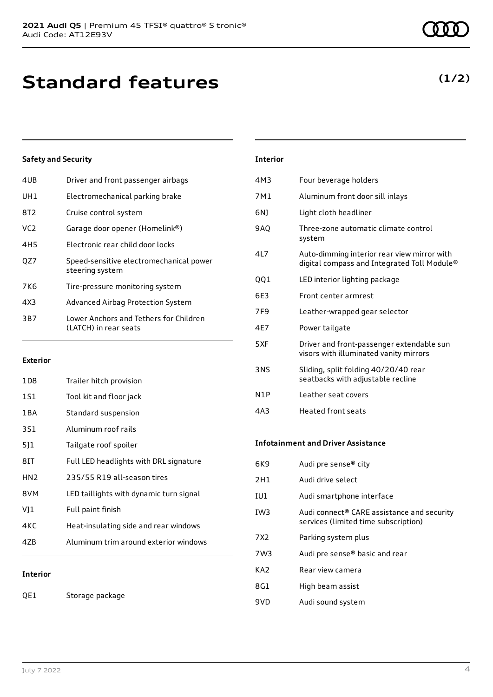### **Standard features**

#### **Safety and Security**

| 4UB             | Driver and front passenger airbags                              |
|-----------------|-----------------------------------------------------------------|
| UH1             | Electromechanical parking brake                                 |
| 8T2             | Cruise control system                                           |
| VC <sub>2</sub> | Garage door opener (Homelink®)                                  |
| 4H5             | Electronic rear child door locks                                |
| OZ7             | Speed-sensitive electromechanical power<br>steering system      |
| 7K6             | Tire-pressure monitoring system                                 |
| 4X3             | Advanced Airbag Protection System                               |
| 3B7             | Lower Anchors and Tethers for Children<br>(LATCH) in rear seats |
|                 |                                                                 |

#### **Exterior**

| 1D8             | Trailer hitch provision                 |
|-----------------|-----------------------------------------|
| 1S1             | Tool kit and floor jack                 |
| 1 B A           | Standard suspension                     |
| 3S1             | Aluminum roof rails                     |
| 511             | Tailgate roof spoiler                   |
| 8IT             | Full LED headlights with DRL signature  |
| HN <sub>2</sub> | 235/55 R19 all-season tires             |
| 8VM             | LED taillights with dynamic turn signal |
| VJ1             | Full paint finish                       |
| 4KC             | Heat-insulating side and rear windows   |
| 4ZB             | Aluminum trim around exterior windows   |
|                 |                                         |
|                 |                                         |

### **Interior**

QE1 Storage package

### 4M3 Four beverage holders 7M1 Aluminum front door sill inlays 6NJ Light cloth headliner 9AQ Three-zone automatic climate control system 4L7 Auto-dimming interior rear view mirror with digital compass and Integrated Toll Module® QQ1 LED interior lighting package 6E3 Front center armrest 7F9 Leather-wrapped gear selector 4E7 Power tailgate

**Interior**

- 5XF Driver and front-passenger extendable sun visors with illuminated vanity mirrors 3NS Sliding, split folding 40/20/40 rear seatbacks with adjustable recline
- N1P Leather seat covers 4A3 Heated front seats

#### **Infotainment and Driver Assistance**

| 6K9             | Audi pre sense® city                                                                           |
|-----------------|------------------------------------------------------------------------------------------------|
| 2H1             | Audi drive select                                                                              |
| IU1             | Audi smartphone interface                                                                      |
| IW <sub>3</sub> | Audi connect <sup>®</sup> CARE assistance and security<br>services (limited time subscription) |
| 7 X 2           | Parking system plus                                                                            |
| 7W3             | Audi pre sense® basic and rear                                                                 |
| KA2             | Rear view camera                                                                               |
| 8G1             | High beam assist                                                                               |
| 9VD             | Audi sound system                                                                              |
|                 |                                                                                                |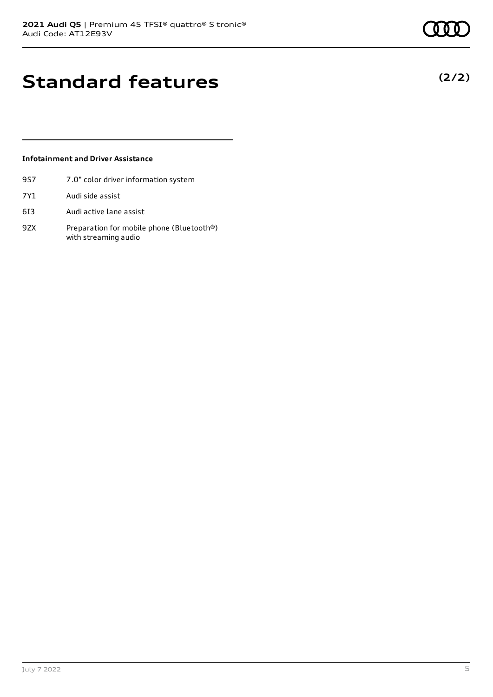**(2/2)**

### **Standard features**

#### **Infotainment and Driver Assistance**

- 9S7 7.0" color driver information system
- 7Y1 Audi side assist
- 6I3 Audi active lane assist
- 9ZX Preparation for mobile phone (Bluetooth®) with streaming audio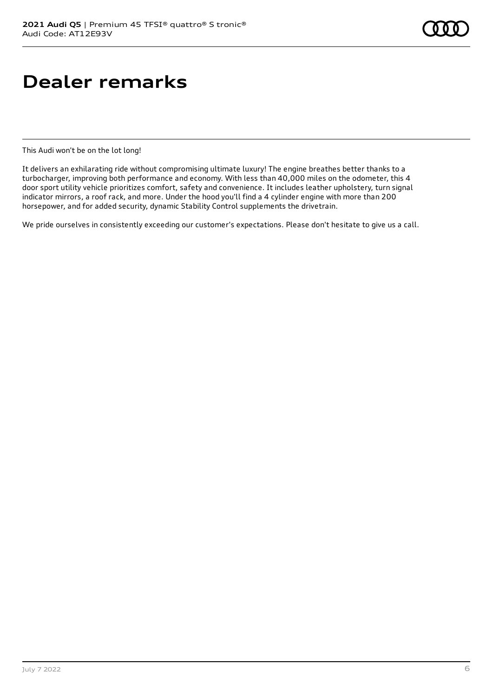### **Dealer remarks**

This Audi won't be on the lot long!

It delivers an exhilarating ride without compromising ultimate luxury! The engine breathes better thanks to a turbocharger, improving both performance and economy. With less than 40,000 miles on the odometer, this 4 door sport utility vehicle prioritizes comfort, safety and convenience. It includes leather upholstery, turn signal indicator mirrors, a roof rack, and more. Under the hood you'll find a 4 cylinder engine with more than 200 horsepower, and for added security, dynamic Stability Control supplements the drivetrain.

We pride ourselves in consistently exceeding our customer's expectations. Please don't hesitate to give us a call.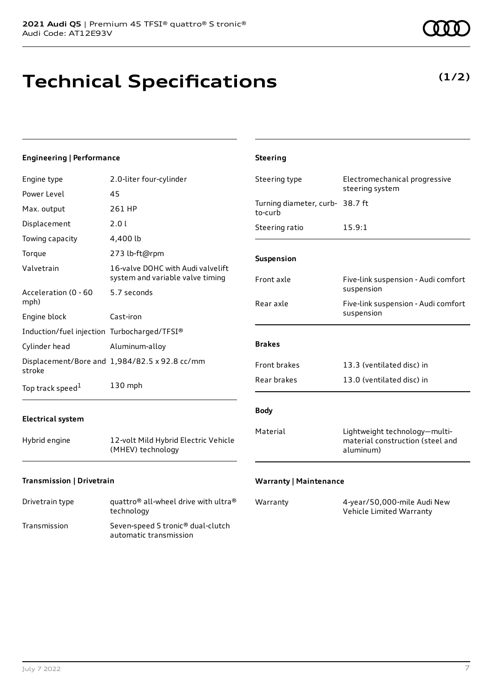## **Technical Specifications**

**(1/2)**

| <b>Engineering   Performance</b>            |                                                                       | <b>Steering</b>                            |                                                                                |
|---------------------------------------------|-----------------------------------------------------------------------|--------------------------------------------|--------------------------------------------------------------------------------|
| Engine type                                 | 2.0-liter four-cylinder                                               | Steering type                              | Electromechanical progressive<br>steering system                               |
| Power Level                                 | 45                                                                    |                                            |                                                                                |
| Max. output                                 | 261 HP                                                                | Turning diameter, curb- 38.7 ft<br>to-curb |                                                                                |
| Displacement                                | 2.0 l                                                                 | Steering ratio                             | 15.9:1                                                                         |
| Towing capacity                             | 4,400 lb                                                              |                                            |                                                                                |
| Torque                                      | 273 lb-ft@rpm                                                         | Suspension                                 |                                                                                |
| Valvetrain                                  | 16-valve DOHC with Audi valvelift<br>system and variable valve timing | Front axle                                 | Five-link suspension - Audi comfort                                            |
| Acceleration (0 - 60<br>mph)                | 5.7 seconds                                                           | Rear axle                                  | suspension<br>Five-link suspension - Audi comfort                              |
| Engine block                                | Cast-iron                                                             |                                            | suspension                                                                     |
| Induction/fuel injection Turbocharged/TFSI® |                                                                       |                                            |                                                                                |
| Cylinder head                               | Aluminum-alloy                                                        | <b>Brakes</b>                              |                                                                                |
| stroke                                      | Displacement/Bore and 1,984/82.5 x 92.8 cc/mm                         | Front brakes                               | 13.3 (ventilated disc) in                                                      |
| Top track speed <sup>1</sup>                | 130 mph                                                               | Rear brakes                                | 13.0 (ventilated disc) in                                                      |
| <b>Electrical system</b>                    |                                                                       | <b>Body</b>                                |                                                                                |
| Hybrid engine                               | 12-volt Mild Hybrid Electric Vehicle<br>(MHEV) technology             | Material                                   | Lightweight technology-multi-<br>material construction (steel and<br>aluminum) |
| Transmission   Drivetrain                   |                                                                       | <b>Warranty   Maintenance</b>              |                                                                                |

| Drivetrain type | quattro <sup>®</sup> all-wheel drive with ultra <sup>®</sup><br>technology |
|-----------------|----------------------------------------------------------------------------|
| Transmission    | Seven-speed S tronic <sup>®</sup> dual-clutch<br>automatic transmission    |

| Warranty | 4-year/50,000-mile Audi New |
|----------|-----------------------------|
|          | Vehicle Limited Warranty    |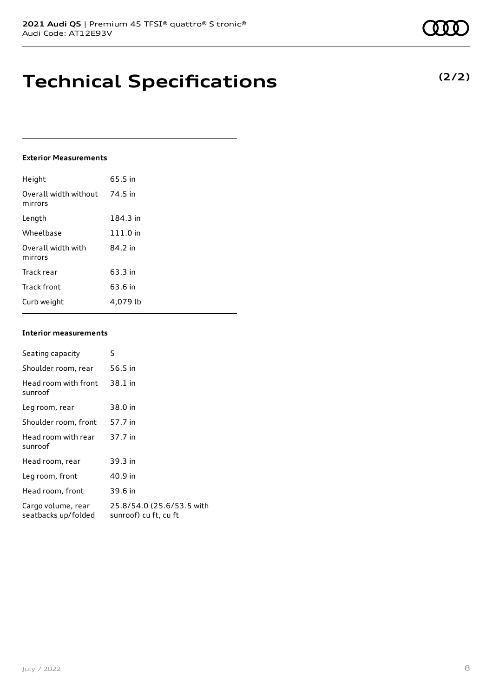### **Technical Specifications**

#### **Exterior Measurements**

| Height                           | 65.5 in  |
|----------------------------------|----------|
| Overall width without<br>mirrors | 74.5 in  |
| Length                           | 184.3 in |
| Wheelbase                        | 111.0 in |
| Overall width with<br>mirrors    | 84.2 in  |
| Track rear                       | 63.3 in  |
| Track front                      | 63.6 in  |
| Curb weight                      | 4.079 lb |

#### **Interior measurements**

| Seating capacity                          | 5                                                  |
|-------------------------------------------|----------------------------------------------------|
| Shoulder room, rear                       | 56.5 in                                            |
| Head room with front<br>sunroof           | 38.1 in                                            |
| Leg room, rear                            | 38.0 in                                            |
| Shoulder room, front                      | 57.7 in                                            |
| Head room with rear<br>sunroof            | 37.7 in                                            |
| Head room, rear                           | 39.3 in                                            |
| Leg room, front                           | 40.9 in                                            |
| Head room, front                          | 39.6 in                                            |
| Cargo volume, rear<br>seatbacks up/folded | 25.8/54.0 (25.6/53.5 with<br>sunroof) cu ft, cu ft |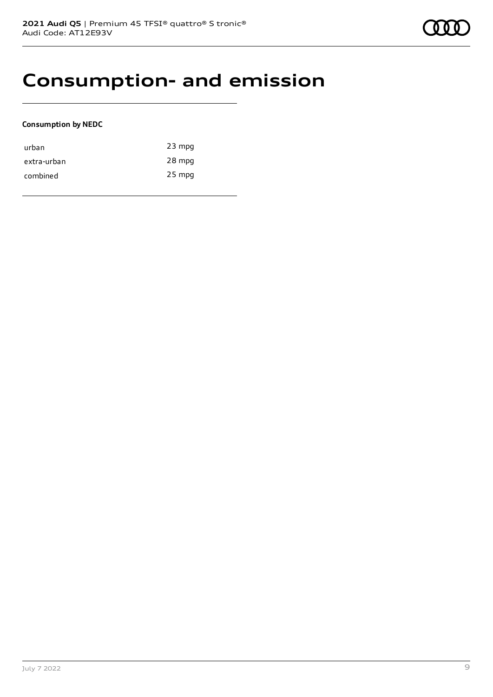### **Consumption- and emission**

#### **Consumption by NEDC**

| urban       | $23$ mpg |
|-------------|----------|
| extra-urban | 28 mpg   |
| combined    | $25$ mpg |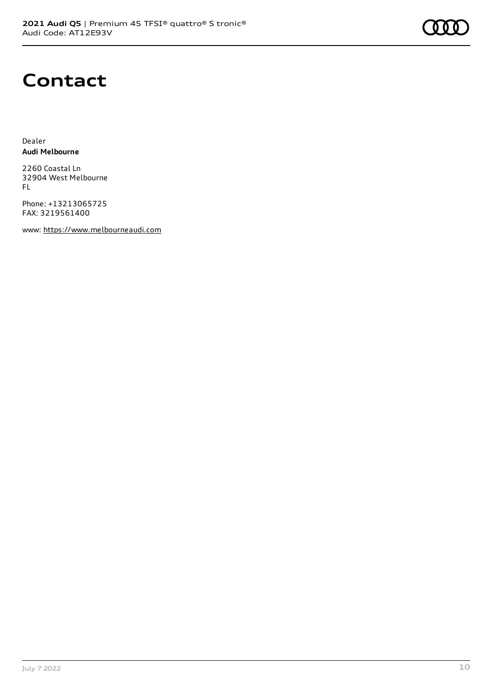

### **Contact**

Dealer **Audi Melbourne**

2260 Coastal Ln 32904 West Melbourne FL

Phone: +13213065725 FAX: 3219561400

www: [https://www.melbourneaudi.com](https://www.melbourneaudi.com/)